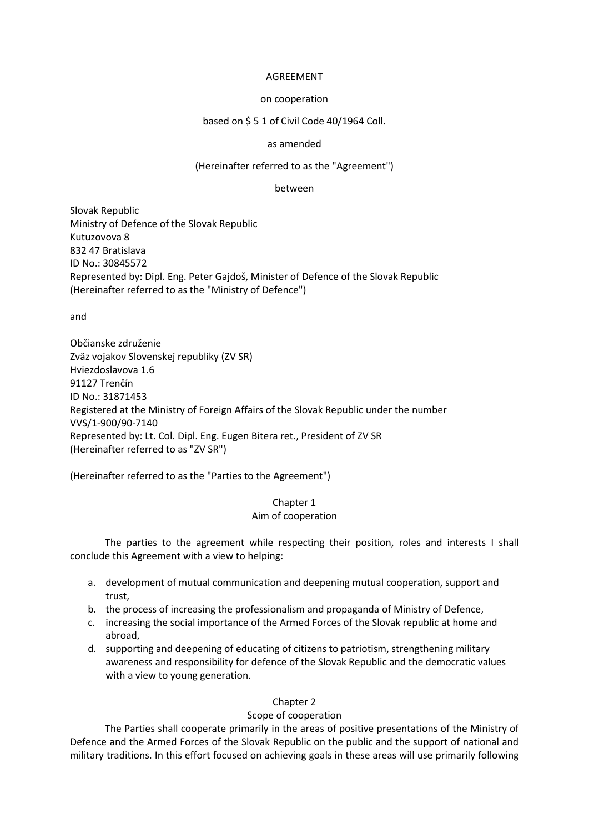### AGREEMENT

### on cooperation

## based on \$ 5 1 of Civil Code 40/1964 Coll.

### as amended

### (Hereinafter referred to as the "Agreement")

#### between

Slovak Republic Ministry of Defence of the Slovak Republic Kutuzovova 8 832 47 Bratislava ID No.: 30845572 Represented by: Dipl. Eng. Peter Gajdoš, Minister of Defence of the Slovak Republic (Hereinafter referred to as the "Ministry of Defence")

and

Občianske združenie Zväz vojakov Slovenskej republiky (ZV SR) Hviezdoslavova 1.6 91127 Trenčín ID No.: 31871453 Registered at the Ministry of Foreign Affairs of the Slovak Republic under the number VVS/1-900/90-7140 Represented by: Lt. Col. Dipl. Eng. Eugen Bitera ret., President of ZV SR (Hereinafter referred to as "ZV SR")

(Hereinafter referred to as the "Parties to the Agreement")

## Chapter 1 Aim of cooperation

The parties to the agreement while respecting their position, roles and interests I shall conclude this Agreement with a view to helping:

- a. development of mutual communication and deepening mutual cooperation, support and trust,
- b. the process of increasing the professionalism and propaganda of Ministry of Defence,
- c. increasing the social importance of the Armed Forces of the Slovak republic at home and abroad,
- d. supporting and deepening of educating of citizens to patriotism, strengthening military awareness and responsibility for defence of the Slovak Republic and the democratic values with a view to young generation.

## Chapter 2

## Scope of cooperation

The Parties shall cooperate primarily in the areas of positive presentations of the Ministry of Defence and the Armed Forces of the Slovak Republic on the public and the support of national and military traditions. In this effort focused on achieving goals in these areas will use primarily following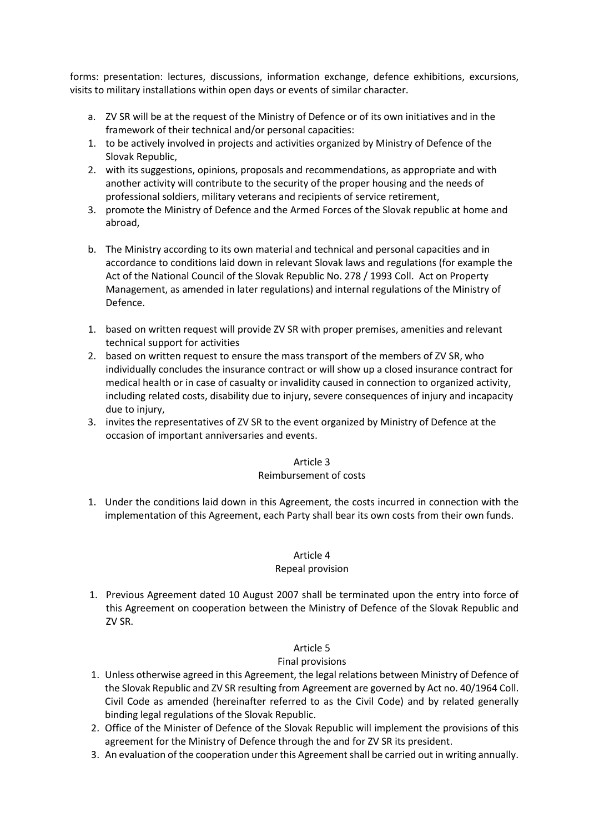forms: presentation: lectures, discussions, information exchange, defence exhibitions, excursions, visits to military installations within open days or events of similar character.

- a. ZV SR will be at the request of the Ministry of Defence or of its own initiatives and in the framework of their technical and/or personal capacities:
- 1. to be actively involved in projects and activities organized by Ministry of Defence of the Slovak Republic,
- 2. with its suggestions, opinions, proposals and recommendations, as appropriate and with another activity will contribute to the security of the proper housing and the needs of professional soldiers, military veterans and recipients of service retirement,
- 3. promote the Ministry of Defence and the Armed Forces of the Slovak republic at home and abroad,
- b. The Ministry according to its own material and technical and personal capacities and in accordance to conditions laid down in relevant Slovak laws and regulations (for example the Act of the National Council of the Slovak Republic No. 278 / 1993 Coll. Act on Property Management, as amended in later regulations) and internal regulations of the Ministry of Defence.
- 1. based on written request will provide ZV SR with proper premises, amenities and relevant technical support for activities
- 2. based on written request to ensure the mass transport of the members of ZV SR, who individually concludes the insurance contract or will show up a closed insurance contract for medical health or in case of casualty or invalidity caused in connection to organized activity, including related costs, disability due to injury, severe consequences of injury and incapacity due to injury,
- 3. invites the representatives of ZV SR to the event organized by Ministry of Defence at the occasion of important anniversaries and events.

#### Article 3 Reimbursement of costs

1. Under the conditions laid down in this Agreement, the costs incurred in connection with the implementation of this Agreement, each Party shall bear its own costs from their own funds.

### Article 4 Repeal provision

1. Previous Agreement dated 10 August 2007 shall be terminated upon the entry into force of this Agreement on cooperation between the Ministry of Defence of the Slovak Republic and ZV SR.

# Article 5

# Final provisions

- 1. Unless otherwise agreed in this Agreement, the legal relations between Ministry of Defence of the Slovak Republic and ZV SR resulting from Agreement are governed by Act no. 40/1964 Coll. Civil Code as amended (hereinafter referred to as the Civil Code) and by related generally binding legal regulations of the Slovak Republic.
- 2. Office of the Minister of Defence of the Slovak Republic will implement the provisions of this agreement for the Ministry of Defence through the and for ZV SR its president.
- 3. An evaluation of the cooperation under this Agreement shall be carried out in writing annually.